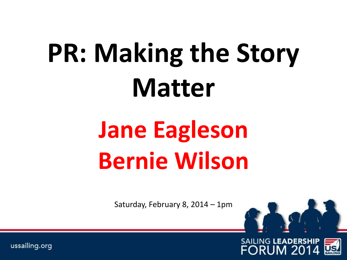# **PR: Making the Story Matter**

# **Jane Eagleson Bernie Wilson**

Saturday, February 8, 2014 – 1pm



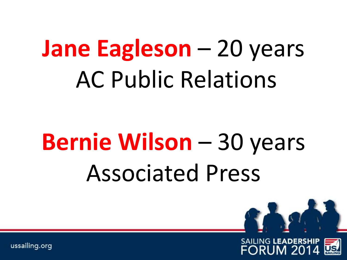### **Jane Eagleson** – 20 years AC Public Relations

## **Bernie Wilson** – 30 years Associated Press

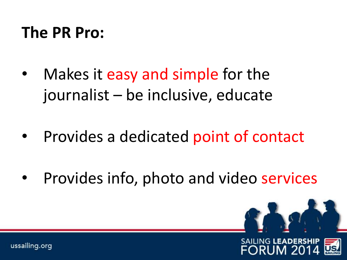### **The PR Pro:**

- Makes it easy and simple for the journalist – be inclusive, educate
- Provides a dedicated point of contact
- Provides info, photo and video services

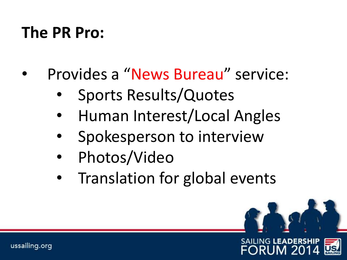### **The PR Pro:**

- Provides a "News Bureau" service:
	- Sports Results/Quotes
	- Human Interest/Local Angles
	- Spokesperson to interview
	- Photos/Video
	- Translation for global events

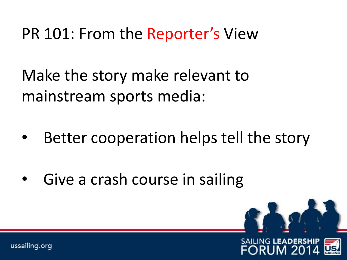#### PR 101: From the Reporter's View

Make the story make relevant to mainstream sports media:

- Better cooperation helps tell the story
- Give a crash course in sailing

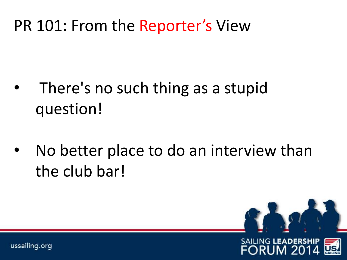#### PR 101: From the Reporter's View

- There's no such thing as a stupid question!
- No better place to do an interview than the club bar!

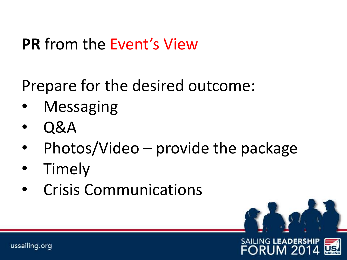#### **PR** from the Event's View

Prepare for the desired outcome:

- **Messaging**
- Q&A
- Photos/Video provide the package
- Timely
- Crisis Communications



EORUM 20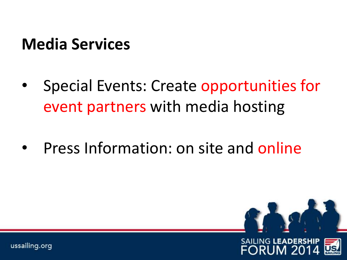### **Media Services**

- Special Events: Create opportunities for event partners with media hosting
- Press Information: on site and online

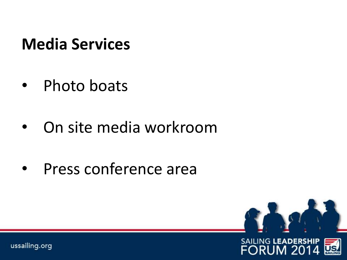### **Media Services**

- Photo boats
- On site media workroom
- Press conference area

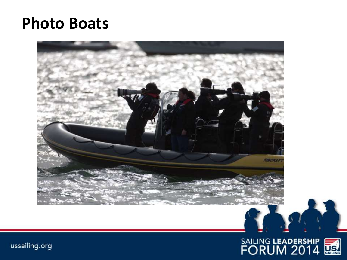#### **Photo Boats**



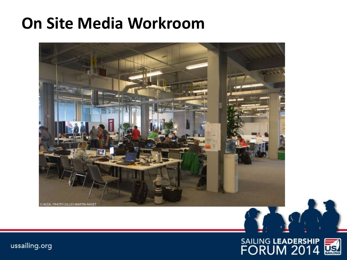#### **On Site Media Workroom**



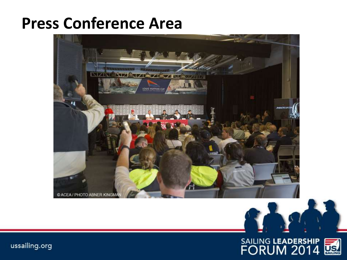#### **Press Conference Area**



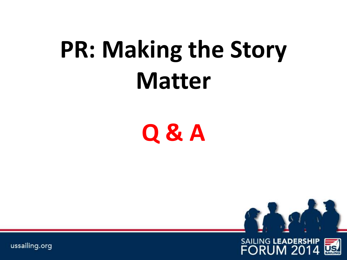## **PR: Making the Story Matter**

**Q & A**

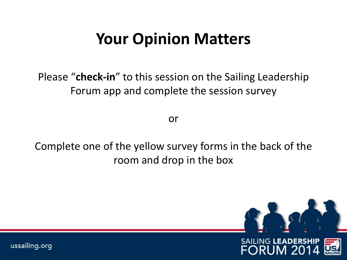#### **Your Opinion Matters**

Please "**check-in**" to this session on the Sailing Leadership Forum app and complete the session survey

or

Complete one of the yellow survey forms in the back of the room and drop in the box